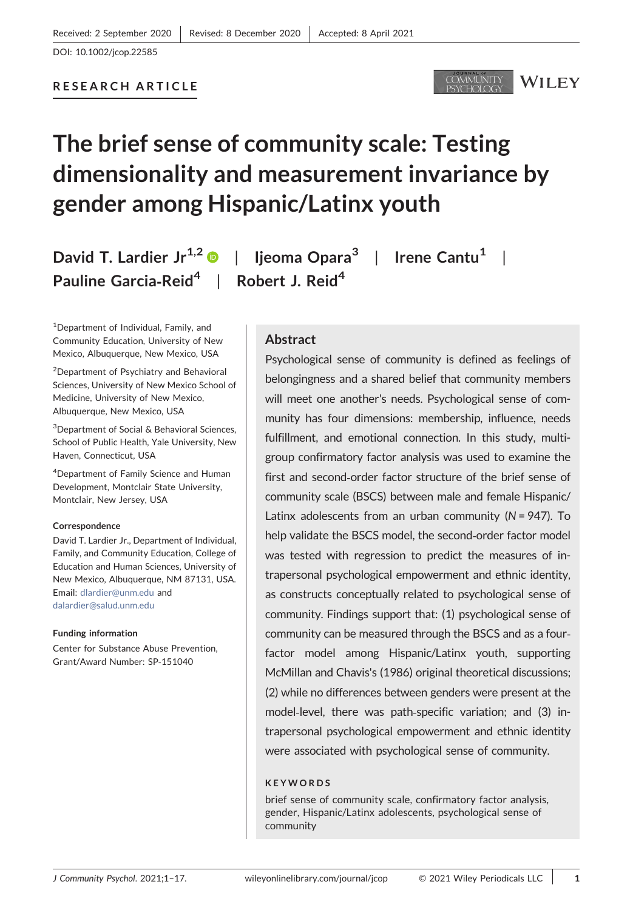

# The brief sense of community scale: Testing dimensionality and measurement invariance by gender among Hispanic/Latinx youth

Pauline Garcia-Reid<sup>4</sup> | Robert J. Reid<sup>4</sup>

David T. Lardier Jr<sup>1,2</sup>  $\bullet$  | Ijeoma Opara<sup>3</sup> | Irene Cantu<sup>1</sup> |

<sup>1</sup>Department of Individual, Family, and Community Education, University of New Mexico, Albuquerque, New Mexico, USA

2 Department of Psychiatry and Behavioral Sciences, University of New Mexico School of Medicine, University of New Mexico, Albuquerque, New Mexico, USA

<sup>3</sup>Department of Social & Behavioral Sciences, School of Public Health, Yale University, New Haven, Connecticut, USA

4 Department of Family Science and Human Development, Montclair State University, Montclair, New Jersey, USA

#### Correspondence

David T. Lardier Jr., Department of Individual, Family, and Community Education, College of Education and Human Sciences, University of New Mexico, Albuquerque, NM 87131, USA. Email: [dlardier@unm.edu](mailto:dlardier@unm.edu) and [dalardier@salud.unm.edu](mailto:dalardier@salud.unm.edu)

#### Funding information

Center for Substance Abuse Prevention, Grant/Award Number: SP‐151040

#### Abstract

Psychological sense of community is defined as feelings of belongingness and a shared belief that community members will meet one another's needs. Psychological sense of community has four dimensions: membership, influence, needs fulfillment, and emotional connection. In this study, multigroup confirmatory factor analysis was used to examine the first and second‐order factor structure of the brief sense of community scale (BSCS) between male and female Hispanic/ Latinx adolescents from an urban community ( $N = 947$ ). To help validate the BSCS model, the second-order factor model was tested with regression to predict the measures of intrapersonal psychological empowerment and ethnic identity, as constructs conceptually related to psychological sense of community. Findings support that: (1) psychological sense of community can be measured through the BSCS and as a four‐ factor model among Hispanic/Latinx youth, supporting McMillan and Chavis's (1986) original theoretical discussions; (2) while no differences between genders were present at the model-level, there was path-specific variation; and (3) intrapersonal psychological empowerment and ethnic identity were associated with psychological sense of community.

#### KEYWORDS

brief sense of community scale, confirmatory factor analysis, gender, Hispanic/Latinx adolescents, psychological sense of community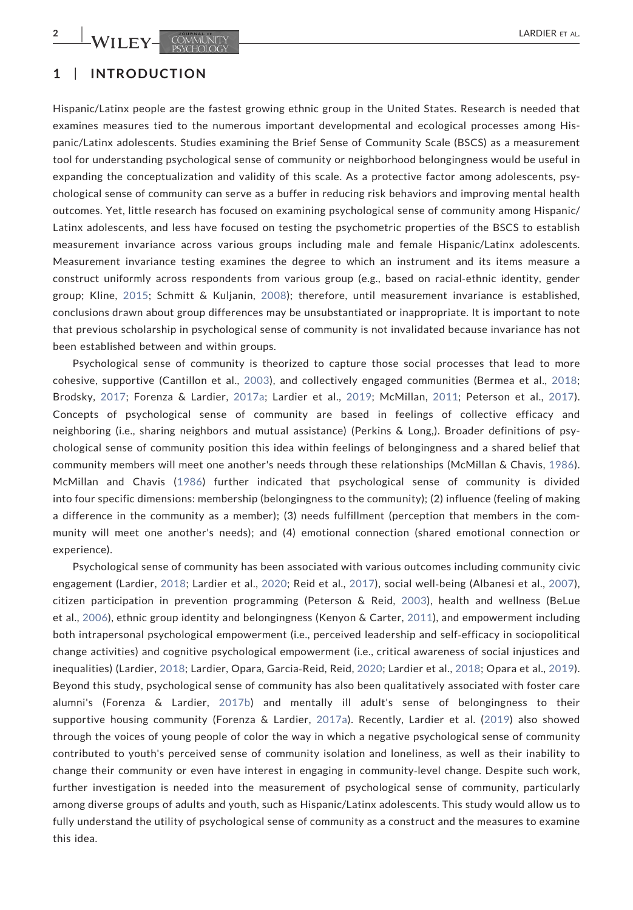# 1 | INTRODUCTION

Hispanic/Latinx people are the fastest growing ethnic group in the United States. Research is needed that examines measures tied to the numerous important developmental and ecological processes among Hispanic/Latinx adolescents. Studies examining the Brief Sense of Community Scale (BSCS) as a measurement tool for understanding psychological sense of community or neighborhood belongingness would be useful in expanding the conceptualization and validity of this scale. As a protective factor among adolescents, psychological sense of community can serve as a buffer in reducing risk behaviors and improving mental health outcomes. Yet, little research has focused on examining psychological sense of community among Hispanic/ Latinx adolescents, and less have focused on testing the psychometric properties of the BSCS to establish measurement invariance across various groups including male and female Hispanic/Latinx adolescents. Measurement invariance testing examines the degree to which an instrument and its items measure a construct uniformly across respondents from various group (e.g., based on racial‐ethnic identity, gender group; Kline, [2015;](#page-13-0) Schmitt & Kuljanin, [2008\)](#page-15-0); therefore, until measurement invariance is established, conclusions drawn about group differences may be unsubstantiated or inappropriate. It is important to note that previous scholarship in psychological sense of community is not invalidated because invariance has not been established between and within groups.

Psychological sense of community is theorized to capture those social processes that lead to more cohesive, supportive (Cantillon et al., [2003](#page-13-1)), and collectively engaged communities (Bermea et al., [2018](#page-13-2); Brodsky, [2017;](#page-13-3) Forenza & Lardier, [2017a;](#page-13-2) Lardier et al., [2019;](#page-14-0) McMillan, [2011](#page-14-1); Peterson et al., [2017\)](#page-15-1). Concepts of psychological sense of community are based in feelings of collective efficacy and neighboring (i.e., sharing neighbors and mutual assistance) (Perkins & Long,). Broader definitions of psychological sense of community position this idea within feelings of belongingness and a shared belief that community members will meet one another's needs through these relationships (McMillan & Chavis, [1986\)](#page-14-2). McMillan and Chavis ([1986](#page-14-2)) further indicated that psychological sense of community is divided into four specific dimensions: membership (belongingness to the community); (2) influence (feeling of making a difference in the community as a member); (3) needs fulfillment (perception that members in the community will meet one another's needs); and (4) emotional connection (shared emotional connection or experience).

Psychological sense of community has been associated with various outcomes including community civic engagement (Lardier, [2018;](#page-13-4) Lardier et al., [2020;](#page-14-3) Reid et al., [2017](#page-15-2)), social well-being (Albanesi et al., [2007\)](#page-12-0), citizen participation in prevention programming (Peterson & Reid, [2003](#page-14-4)), health and wellness (BeLue et al., [2006\)](#page-13-5), ethnic group identity and belongingness (Kenyon & Carter, [2011](#page-13-6)), and empowerment including both intrapersonal psychological empowerment (i.e., perceived leadership and self‐efficacy in sociopolitical change activities) and cognitive psychological empowerment (i.e., critical awareness of social injustices and inequalities) (Lardier, [2018;](#page-13-4) Lardier, Opara, Garcia‐Reid, Reid, [2020](#page-14-3); Lardier et al., [2018](#page-13-4); Opara et al., [2019\)](#page-14-5). Beyond this study, psychological sense of community has also been qualitatively associated with foster care alumni's (Forenza & Lardier, [2017b\)](#page-13-7) and mentally ill adult's sense of belongingness to their supportive housing community (Forenza & Lardier, [2017a](#page-13-8)). Recently, Lardier et al. ([2019](#page-14-0)) also showed through the voices of young people of color the way in which a negative psychological sense of community contributed to youth's perceived sense of community isolation and loneliness, as well as their inability to change their community or even have interest in engaging in community‐level change. Despite such work, further investigation is needed into the measurement of psychological sense of community, particularly among diverse groups of adults and youth, such as Hispanic/Latinx adolescents. This study would allow us to fully understand the utility of psychological sense of community as a construct and the measures to examine this idea.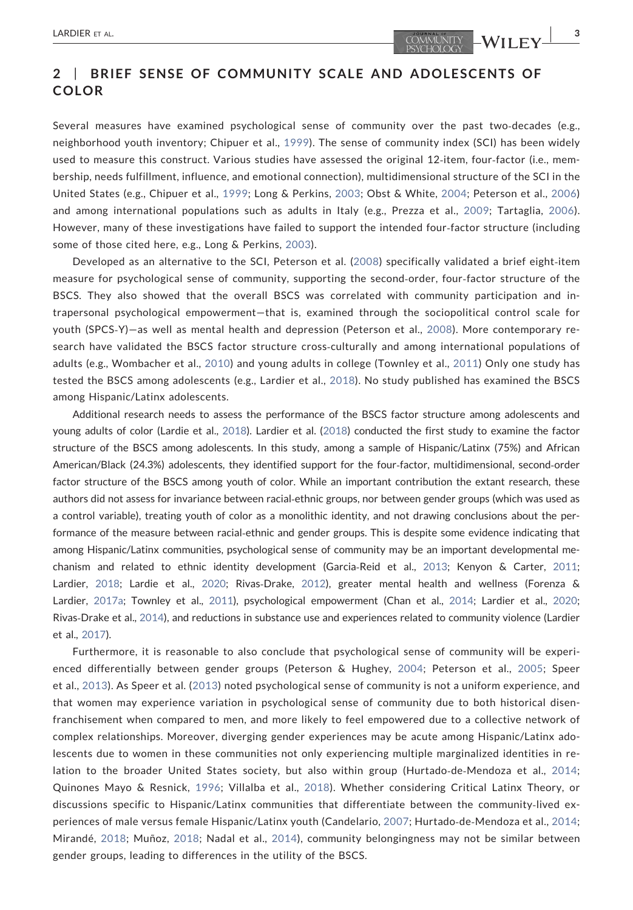# 2 | BRIEF SENSE OF COMMUNITY SCALE AND ADOLESCENTS OF COLOR

Several measures have examined psychological sense of community over the past two-decades (e.g., neighborhood youth inventory; Chipuer et al., [1999\)](#page-13-9). The sense of community index (SCI) has been widely used to measure this construct. Various studies have assessed the original 12-item, four-factor (i.e., membership, needs fulfillment, influence, and emotional connection), multidimensional structure of the SCI in the United States (e.g., Chipuer et al., [1999;](#page-13-9) Long & Perkins, [2003](#page-14-6); Obst & White, [2004;](#page-14-7) Peterson et al., [2006\)](#page-14-8) and among international populations such as adults in Italy (e.g., Prezza et al., [2009;](#page-15-3) Tartaglia, [2006\)](#page-15-4). However, many of these investigations have failed to support the intended four‐factor structure (including some of those cited here, e.g., Long & Perkins, [2003](#page-14-6)).

Developed as an alternative to the SCI, Peterson et al. ([2008](#page-15-5)) specifically validated a brief eight-item measure for psychological sense of community, supporting the second-order, four-factor structure of the BSCS. They also showed that the overall BSCS was correlated with community participation and intrapersonal psychological empowerment—that is, examined through the sociopolitical control scale for youth (SPCS‐Y)—as well as mental health and depression (Peterson et al., [2008\)](#page-15-6). More contemporary research have validated the BSCS factor structure cross-culturally and among international populations of adults (e.g., Wombacher et al., [2010](#page-16-0)) and young adults in college (Townley et al., [2011\)](#page-15-7) Only one study has tested the BSCS among adolescents (e.g., Lardier et al., [2018\)](#page-13-4). No study published has examined the BSCS among Hispanic/Latinx adolescents.

Additional research needs to assess the performance of the BSCS factor structure among adolescents and young adults of color (Lardie et al., [2018\)](#page-13-4). Lardier et al. ([2018](#page-13-4)) conducted the first study to examine the factor structure of the BSCS among adolescents. In this study, among a sample of Hispanic/Latinx (75%) and African American/Black (24.3%) adolescents, they identified support for the four‐factor, multidimensional, second‐order factor structure of the BSCS among youth of color. While an important contribution the extant research, these authors did not assess for invariance between racial‐ethnic groups, nor between gender groups (which was used as a control variable), treating youth of color as a monolithic identity, and not drawing conclusions about the performance of the measure between racial‐ethnic and gender groups. This is despite some evidence indicating that among Hispanic/Latinx communities, psychological sense of community may be an important developmental me-chanism and related to ethnic identity development (Garcia-Reid et al., [2013;](#page-13-10) Kenyon & Carter, [2011](#page-13-6); Lardier, [2018;](#page-13-4) Lardie et al., [2020](#page-14-3); Rivas-Drake, [2012\)](#page-15-8), greater mental health and wellness (Forenza & Lardier, [2017a](#page-13-8); Townley et al., [2011\)](#page-15-9), psychological empowerment (Chan et al., [2014;](#page-13-11) Lardier et al., [2020](#page-14-3); Rivas‐Drake et al., [2014\)](#page-15-10), and reductions in substance use and experiences related to community violence (Lardier et al., [2017](#page-14-9)).

Furthermore, it is reasonable to also conclude that psychological sense of community will be experienced differentially between gender groups (Peterson & Hughey, [2004](#page-14-10); Peterson et al., [2005](#page-14-11); Speer et al., [2013](#page-15-11)). As Speer et al. [\(2013\)](#page-15-11) noted psychological sense of community is not a uniform experience, and that women may experience variation in psychological sense of community due to both historical disenfranchisement when compared to men, and more likely to feel empowered due to a collective network of complex relationships. Moreover, diverging gender experiences may be acute among Hispanic/Latinx adolescents due to women in these communities not only experiencing multiple marginalized identities in re-lation to the broader United States society, but also within group (Hurtado-de-Mendoza et al., [2014](#page-13-12); Quinones Mayo & Resnick, [1996](#page-15-12); Villalba et al., [2018\)](#page-16-1). Whether considering Critical Latinx Theory, or discussions specific to Hispanic/Latinx communities that differentiate between the community‐lived ex-periences of male versus female Hispanic/Latinx youth (Candelario, [2007](#page-13-13); Hurtado-de-Mendoza et al., [2014](#page-13-12); Mirandé, [2018;](#page-14-12) Muñoz, [2018;](#page-14-13) Nadal et al., [2014\)](#page-14-14), community belongingness may not be similar between gender groups, leading to differences in the utility of the BSCS.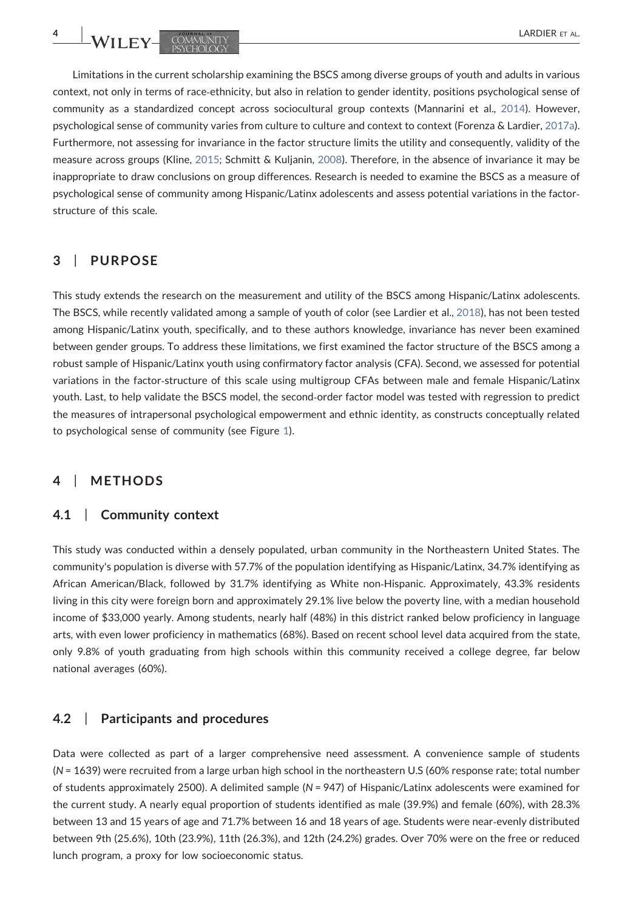Limitations in the current scholarship examining the BSCS among diverse groups of youth and adults in various context, not only in terms of race‐ethnicity, but also in relation to gender identity, positions psychological sense of community as a standardized concept across sociocultural group contexts (Mannarini et al., [2014](#page-14-15)). However, psychological sense of community varies from culture to culture and context to context (Forenza & Lardier, [2017a](#page-13-8)). Furthermore, not assessing for invariance in the factor structure limits the utility and consequently, validity of the measure across groups (Kline, [2015](#page-13-0); Schmitt & Kuljanin, [2008\)](#page-15-0). Therefore, in the absence of invariance it may be inappropriate to draw conclusions on group differences. Research is needed to examine the BSCS as a measure of psychological sense of community among Hispanic/Latinx adolescents and assess potential variations in the factor‐ structure of this scale.

## 3 | PURPOSE

This study extends the research on the measurement and utility of the BSCS among Hispanic/Latinx adolescents. The BSCS, while recently validated among a sample of youth of color (see Lardier et al., [2018](#page-13-4)), has not been tested among Hispanic/Latinx youth, specifically, and to these authors knowledge, invariance has never been examined between gender groups. To address these limitations, we first examined the factor structure of the BSCS among a robust sample of Hispanic/Latinx youth using confirmatory factor analysis (CFA). Second, we assessed for potential variations in the factor‐structure of this scale using multigroup CFAs between male and female Hispanic/Latinx youth. Last, to help validate the BSCS model, the second-order factor model was tested with regression to predict the measures of intrapersonal psychological empowerment and ethnic identity, as constructs conceptually related to psychological sense of community (see Figure [1](#page-4-0)).

## 4 | METHODS

#### 4.1 | Community context

This study was conducted within a densely populated, urban community in the Northeastern United States. The community's population is diverse with 57.7% of the population identifying as Hispanic/Latinx, 34.7% identifying as African American/Black, followed by 31.7% identifying as White non‐Hispanic. Approximately, 43.3% residents living in this city were foreign born and approximately 29.1% live below the poverty line, with a median household income of \$33,000 yearly. Among students, nearly half (48%) in this district ranked below proficiency in language arts, with even lower proficiency in mathematics (68%). Based on recent school level data acquired from the state, only 9.8% of youth graduating from high schools within this community received a college degree, far below national averages (60%).

#### 4.2 | Participants and procedures

Data were collected as part of a larger comprehensive need assessment. A convenience sample of students  $(N = 1639)$  were recruited from a large urban high school in the northeastern U.S (60% response rate; total number of students approximately 2500). A delimited sample (N = 947) of Hispanic/Latinx adolescents were examined for the current study. A nearly equal proportion of students identified as male (39.9%) and female (60%), with 28.3% between 13 and 15 years of age and 71.7% between 16 and 18 years of age. Students were near‐evenly distributed between 9th (25.6%), 10th (23.9%), 11th (26.3%), and 12th (24.2%) grades. Over 70% were on the free or reduced lunch program, a proxy for low socioeconomic status.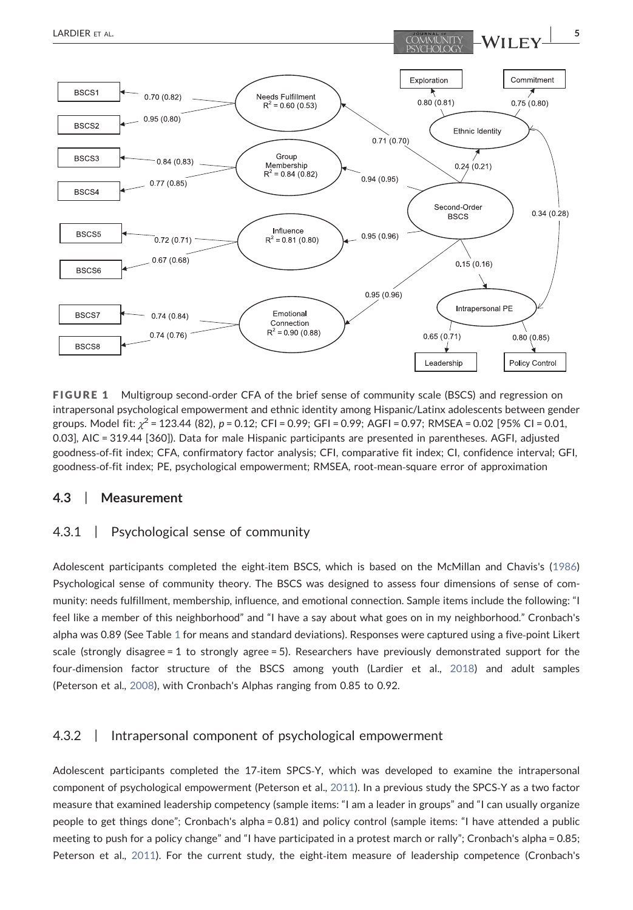<span id="page-4-0"></span>

FIGURE 1 Multigroup second-order CFA of the brief sense of community scale (BSCS) and regression on intrapersonal psychological empowerment and ethnic identity among Hispanic/Latinx adolescents between gender groups. Model fit:  $\chi^2$  = 123.44 (82), p = 0.12; CFI = 0.99; GFI = 0.99; AGFI = 0.97; RMSEA = 0.02 [95% CI = 0.01, 0.03], AIC = 319.44 [360]). Data for male Hispanic participants are presented in parentheses. AGFI, adjusted goodness‐of‐fit index; CFA, confirmatory factor analysis; CFI, comparative fit index; CI, confidence interval; GFI, goodness‐of‐fit index; PE, psychological empowerment; RMSEA, root‐mean‐square error of approximation

### 4.3 | Measurement

#### 4.3.1 | Psychological sense of community

Adolescent participants completed the eight‐item BSCS, which is based on the McMillan and Chavis's [\(1986\)](#page-14-2) Psychological sense of community theory. The BSCS was designed to assess four dimensions of sense of community: needs fulfillment, membership, influence, and emotional connection. Sample items include the following: "I feel like a member of this neighborhood" and "I have a say about what goes on in my neighborhood." Cronbach's alpha was 0.89 (See Table [1](#page-5-0) for means and standard deviations). Responses were captured using a five‐point Likert scale (strongly disagree = 1 to strongly agree = 5). Researchers have previously demonstrated support for the four‐dimension factor structure of the BSCS among youth (Lardier et al., [2018](#page-13-4)) and adult samples (Peterson et al., [2008](#page-15-6)), with Cronbach's Alphas ranging from 0.85 to 0.92.

#### 4.3.2 | Intrapersonal component of psychological empowerment

Adolescent participants completed the 17‐item SPCS‐Y, which was developed to examine the intrapersonal component of psychological empowerment (Peterson et al., [2011\)](#page-14-16). In a previous study the SPCS‐Y as a two factor measure that examined leadership competency (sample items: "I am a leader in groups" and "I can usually organize people to get things done"; Cronbach's alpha = 0.81) and policy control (sample items: "I have attended a public meeting to push for a policy change" and "I have participated in a protest march or rally"; Cronbach's alpha = 0.85; Peterson et al., [2011](#page-14-16)). For the current study, the eight-item measure of leadership competence (Cronbach's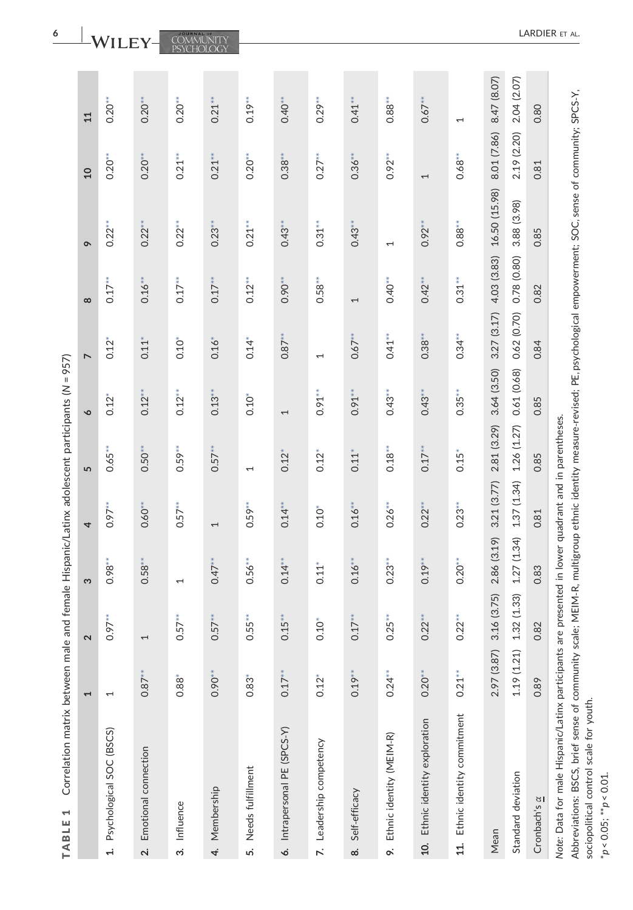<span id="page-5-0"></span>

| Correlation matrix between male and female Hispanic/Latinx adolescent participants (N = 957)<br>H<br>TABLE |                          |                          |                                                     |                |                          |            |                          |                          |                          |                          |                |
|------------------------------------------------------------------------------------------------------------|--------------------------|--------------------------|-----------------------------------------------------|----------------|--------------------------|------------|--------------------------|--------------------------|--------------------------|--------------------------|----------------|
|                                                                                                            | 1                        | $\mathbf{\Omega}$        | S                                                   | 4              | 5                        | ó          | $\overline{ }$           | $\infty$                 | $\sigma$                 | $\Omega$                 | 11             |
| Psychological SOC (BSCS)<br>$\ddot{ }$                                                                     | $\overline{\phantom{0}}$ | $0.97***$                | $0.98***$                                           | $0.97***$      | $0.65**$                 | $0.12*$    | $0.12*$                  | $0.17**$                 | $0.22***$                | $0.20**$                 | $0.20**$       |
| Emotional connection<br>$\overline{\mathbf{v}}$                                                            | $0.87***$                | $\overline{\phantom{0}}$ | $0.58***$                                           | $0.60**$       | $0.50**$                 | $0.12***$  | $0.11*$                  | $0.16***$                | $0.22***$                | $0.20**$                 | $0.20***$      |
| 3. Influence                                                                                               | $0.88*$                  | $0.57***$                | $\overline{ }$                                      | $0.57**$       | $0.59***$                | $0.12***$  | $0.10*$                  | $0.17**$                 | $0.22***$                | $0.21***$                | $0.20**$       |
| 4. Membership                                                                                              | $0.90**$                 | $0.57***$                | $0.47**$                                            | $\overline{1}$ | $0.57***$                | $0.13***$  | $0.16*$                  | $0.17***$                | $0.23***$                | $0.21***$                | $0.21***$      |
| Needs fulfillment<br><sub>ທີ່</sub>                                                                        | $0.83*$                  | $0.55***$                | $0.56**$                                            | $0.59***$      | $\overline{\phantom{0}}$ | $0.10*$    | $0.14*$                  | $0.12**$                 | $0.21***$                | $0.20**$                 | $0.19***$      |
| 6. Intrapersonal PE (SPCS-Y)                                                                               | $0.17*$                  | $0.15***$                | $0.14***$                                           | $0.14**$       | $0.12*$                  | 1          | $0.87***$                | $0.90**$                 | $0.43*$                  | $0.38*$                  | $0.40**$       |
| 7. Leadership competency                                                                                   | $0.12*$                  | $0.10*$                  | $0.11*$                                             | $0.10*$        | $0.12*$                  | $0.91***$  | $\overline{\phantom{0}}$ | $0.58***$                | $0.31***$                | $0.27***$                | $0.29***$      |
| Self-efficacy<br>$\dot{\infty}$                                                                            | $0.19***$                | $0.17***$                | $0.16***$                                           | $0.16***$      | $0.11*$                  | $0.91***$  | $0.67***$                | $\overline{\phantom{0}}$ | $0.43***$                | $0.36***$                | $0.41***$      |
| Ethnic identity (MEIM-R)<br>o:                                                                             | $0.24***$                | $0.25***$                | $0.23***$                                           | $0.26***$      | $0.18***$                | $0.43**$   | $0.41***$                | $0.40**$                 | $\overline{\phantom{0}}$ | $0.92***$                | $0.88**$       |
| Ethnic identity exploration<br>$\overline{a}$                                                              | $0.20***$                | $0.22***$                | $0.19***$                                           | $0.22***$      | $0.17***$                | $0.43**$   | $0.38***$                | $0.42***$                | $0.92***$                | $\overline{\phantom{0}}$ | $0.67***$      |
| Ethnic identity commitment<br>11.                                                                          | $0.21***$                | $0.22***$                | $0.20***$                                           | $0.23***$      | $0.15*$                  | $0.35***$  | $0.34***$                | $0.31***$                | $0.88**$                 | $0.68***$                | $\overline{ }$ |
| Mean                                                                                                       | 2.97 (3.87)              | 3.16 (3.75)              | 2.86 (3.19)                                         | 3.21 (3.77)    | 2.81 (3.29)              | 3.64(3.50) | 3.27 (3.17)              | 4.03 (3.83)              | 16.50 (15.98)            | 8.01 (7.86)              | 8.47 (8.07)    |
| Standard deviation                                                                                         | 1.19 (1.21)              | 1.32 (1.33)              | 1.27(1.34)                                          | 1.37(1.34)     | 1.26 (1.27)              | 0.61(0.68) | 0.62(0.70)               | 0.78 (0.80)              | 3.88 (3.98)              | 2.19 (2.20)              | 2.04 (2.07)    |
| Cronbach's $\underline{\alpha}$                                                                            | 0.89                     | 0.82                     | 0.83                                                | 0.81           | 0.85                     | 0.85       | 0.84                     | 0.82                     | 0.85                     | 0.81                     | 0.80           |
| Note: Data for male Hispanic/Latinx participants                                                           |                          |                          | are presented in lower quadrant and in parentheses. |                |                          |            |                          |                          |                          |                          |                |

sociopolitical control scale for youth. sociopolitical control scale for youth.  $*_{p}$  < 0.05;  $*_{p}$  < 0.01.  $*p < 0.05$ ;  $* p < 0.01$ .

<span id="page-5-1"></span>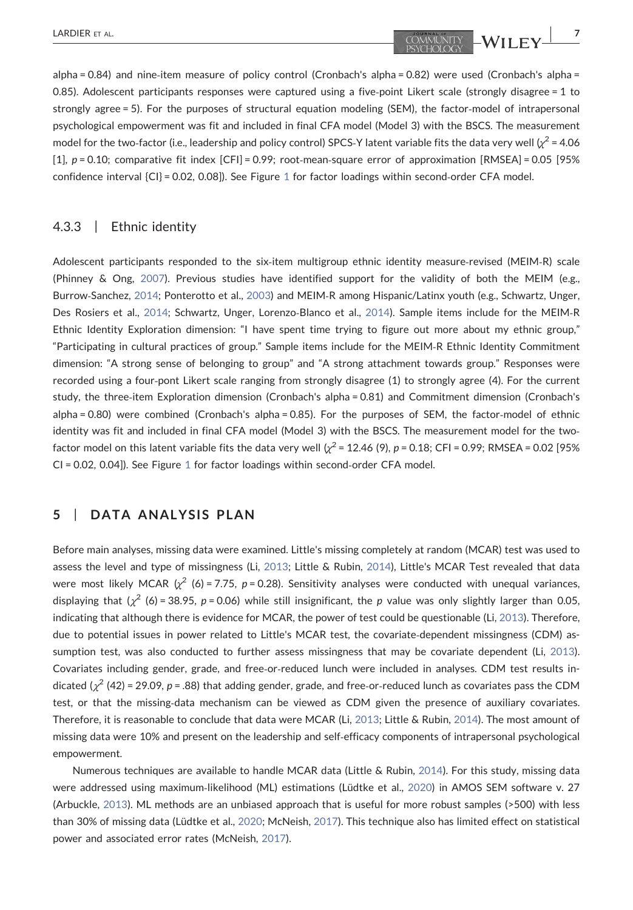alpha = 0.84) and nine‐item measure of policy control (Cronbach's alpha = 0.82) were used (Cronbach's alpha = 0.85). Adolescent participants responses were captured using a five-point Likert scale (strongly disagree = 1 to strongly agree = 5). For the purposes of structural equation modeling (SEM), the factor-model of intrapersonal psychological empowerment was fit and included in final CFA model (Model 3) with the BSCS. The measurement model for the two-factor (i.e., leadership and policy control) SPCS-Y latent variable fits the data very well  $\chi^2$  = 4.06 [1],  $p = 0.10$ ; comparative fit index  $[CH] = 0.99$ ; root-mean-square error of approximation  $[RMSEA] = 0.05$  [95% confidence interval {CI} = 0.02, 0.08]). See Figure [1](#page-4-0) for factor loadings within second-order CFA model.

### 4.3.3 | Ethnic identity

Adolescent participants responded to the six‐item multigroup ethnic identity measure‐revised (MEIM‐R) scale (Phinney & Ong, [2007](#page-15-13)). Previous studies have identified support for the validity of both the MEIM (e.g., Burrow‐Sanchez, [2014](#page-13-14); Ponterotto et al., [2003](#page-15-14)) and MEIM‐R among Hispanic/Latinx youth (e.g., Schwartz, Unger, Des Rosiers et al., [2014;](#page-15-15) Schwartz, Unger, Lorenzo-Blanco et al., [2014](#page-15-16)). Sample items include for the MEIM-R Ethnic Identity Exploration dimension: "I have spent time trying to figure out more about my ethnic group," "Participating in cultural practices of group." Sample items include for the MEIM‐R Ethnic Identity Commitment dimension: "A strong sense of belonging to group" and "A strong attachment towards group." Responses were recorded using a four‐pont Likert scale ranging from strongly disagree (1) to strongly agree (4). For the current study, the three-item Exploration dimension (Cronbach's alpha = 0.81) and Commitment dimension (Cronbach's alpha = 0.80) were combined (Cronbach's alpha = 0.85). For the purposes of SEM, the factor‐model of ethnic identity was fit and included in final CFA model (Model 3) with the BSCS. The measurement model for the twofactor model on this latent variable fits the data very well  $\chi^2$  = 12.46 (9), p = 0.18; CFI = 0.99; RMSEA = 0.02 [95% CI = 0.02, 0.04]). See Figure [1](#page-4-0) for factor loadings within second‐order CFA model.

# 5 | DATA ANALYSIS PLAN

Before main analyses, missing data were examined. Little's missing completely at random (MCAR) test was used to assess the level and type of missingness (Li, [2013;](#page-14-17) Little & Rubin, [2014](#page-14-18)), Little's MCAR Test revealed that data were most likely MCAR  $(\chi^2 \ (6) = 7.75, \ p = 0.28)$ . Sensitivity analyses were conducted with unequal variances, displaying that  $(\chi^2)$  (6) = 38.95, p = 0.06) while still insignificant, the p value was only slightly larger than 0.05, indicating that although there is evidence for MCAR, the power of test could be questionable (Li, [2013](#page-14-17)). Therefore, due to potential issues in power related to Little's MCAR test, the covariate‐dependent missingness (CDM) assumption test, was also conducted to further assess missingness that may be covariate dependent (Li, [2013](#page-14-17)). Covariates including gender, grade, and free‐or‐reduced lunch were included in analyses. CDM test results indicated ( $\chi^2$  (42) = 29.09, p = .88) that adding gender, grade, and free-or-reduced lunch as covariates pass the CDM test, or that the missing‐data mechanism can be viewed as CDM given the presence of auxiliary covariates. Therefore, it is reasonable to conclude that data were MCAR (Li, [2013](#page-14-17); Little & Rubin, [2014](#page-14-18)). The most amount of missing data were 10% and present on the leadership and self‐efficacy components of intrapersonal psychological empowerment.

Numerous techniques are available to handle MCAR data (Little & Rubin, [2014](#page-14-18)). For this study, missing data were addressed using maximum‐likelihood (ML) estimations (Lüdtke et al., [2020\)](#page-14-19) in AMOS SEM software v. 27 (Arbuckle, [2013\)](#page-12-1). ML methods are an unbiased approach that is useful for more robust samples (>500) with less than 30% of missing data (Lüdtke et al., [2020;](#page-14-19) McNeish, [2017\)](#page-14-20). This technique also has limited effect on statistical power and associated error rates (McNeish, [2017](#page-14-20)).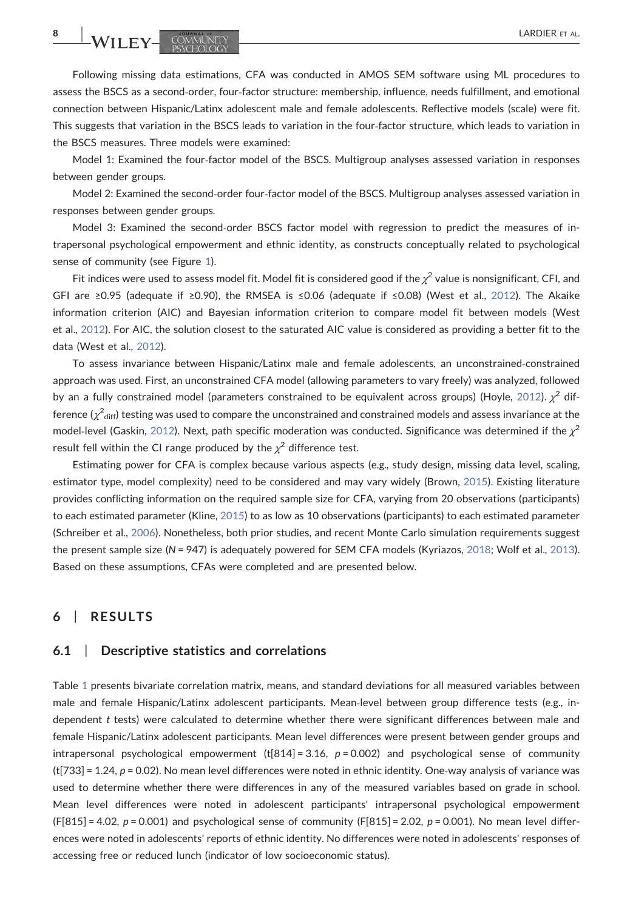WILEY-COMMUNITY **EXAMPLE AL.** 

Following missing data estimations, CFA was conducted in AMOS SEM software using ML procedures to assess the BSCS as a second‐order, four‐factor structure: membership, influence, needs fulfillment, and emotional connection between Hispanic/Latinx adolescent male and female adolescents. Reflective models (scale) were fit. This suggests that variation in the BSCS leads to variation in the four-factor structure, which leads to variation in the BSCS measures. Three models were examined:

Model 1: Examined the four‐factor model of the BSCS. Multigroup analyses assessed variation in responses between gender groups.

Model 2: Examined the second-order four-factor model of the BSCS. Multigroup analyses assessed variation in responses between gender groups.

Model 3: Examined the second-order BSCS factor model with regression to predict the measures of intrapersonal psychological empowerment and ethnic identity, as constructs conceptually related to psychological sense of community (see Figure [1\)](#page-4-0).

Fit indices were used to assess model fit. Model fit is considered good if the  $\chi^2$  value is nonsignificant, CFI, and GFI are ≥0.95 (adequate if ≥0.90), the RMSEA is ≤0.06 (adequate if ≤0.08) (West et al., [2012\)](#page-16-2). The Akaike information criterion (AIC) and Bayesian information criterion to compare model fit between models (West et al., [2012\)](#page-16-2). For AIC, the solution closest to the saturated AIC value is considered as providing a better fit to the data (West et al., [2012](#page-16-2)).

To assess invariance between Hispanic/Latinx male and female adolescents, an unconstrained‐constrained approach was used. First, an unconstrained CFA model (allowing parameters to vary freely) was analyzed, followed by an a fully constrained model (parameters constrained to be equivalent across groups) (Hoyle, [2012\)](#page-13-15).  $\chi^2$  difference ( $\chi^2_{\rm diff}$ ) testing was used to compare the unconstrained and constrained models and assess invariance at the model-level (Gaskin, [2012\)](#page-13-16). Next, path specific moderation was conducted. Significance was determined if the  $\chi^2$ result fell within the CI range produced by the  $\chi^2$  difference test.

Estimating power for CFA is complex because various aspects (e.g., study design, missing data level, scaling, estimator type, model complexity) need to be considered and may vary widely (Brown, [2015\)](#page-13-17). Existing literature provides conflicting information on the required sample size for CFA, varying from 20 observations (participants) to each estimated parameter (Kline, [2015](#page-13-0)) to as low as 10 observations (participants) to each estimated parameter (Schreiber et al., [2006\)](#page-15-17). Nonetheless, both prior studies, and recent Monte Carlo simulation requirements suggest the present sample size (N = 947) is adequately powered for SEM CFA models (Kyriazos, [2018](#page-13-18); Wolf et al., [2013](#page-16-3)). Based on these assumptions, CFAs were completed and are presented below.

#### 6 | RESULTS

#### 6.1 | Descriptive statistics and correlations

Table [1](#page-5-0) presents bivariate correlation matrix, means, and standard deviations for all measured variables between male and female Hispanic/Latinx adolescent participants. Mean-level between group difference tests (e.g., independent t tests) were calculated to determine whether there were significant differences between male and female Hispanic/Latinx adolescent participants. Mean level differences were present between gender groups and intrapersonal psychological empowerment (t[814] = 3.16,  $p = 0.002$ ) and psychological sense of community (t[733] = 1.24, p = 0.02). No mean level differences were noted in ethnic identity. One‐way analysis of variance was used to determine whether there were differences in any of the measured variables based on grade in school. Mean level differences were noted in adolescent participants' intrapersonal psychological empowerment  $(F[815] = 4.02, p = 0.001)$  and psychological sense of community  $(F[815] = 2.02, p = 0.001)$ . No mean level differences were noted in adolescents' reports of ethnic identity. No differences were noted in adolescents' responses of accessing free or reduced lunch (indicator of low socioeconomic status).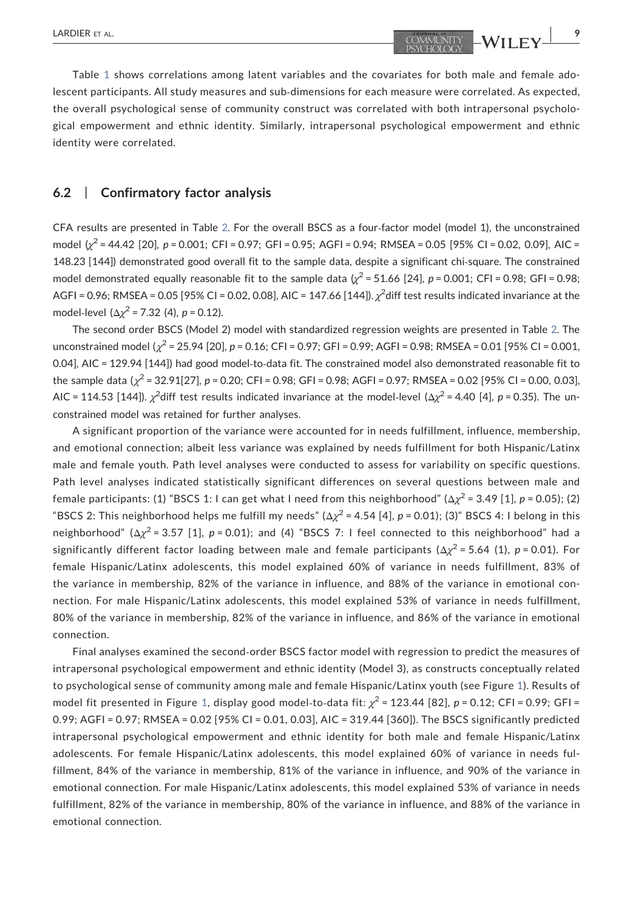Table [1](#page-5-0) shows correlations among latent variables and the covariates for both male and female adolescent participants. All study measures and sub‐dimensions for each measure were correlated. As expected, the overall psychological sense of community construct was correlated with both intrapersonal psychological empowerment and ethnic identity. Similarly, intrapersonal psychological empowerment and ethnic identity were correlated.

#### 6.2 | Confirmatory factor analysis

CFA results are presented in Table [2.](#page-9-0) For the overall BSCS as a four‐factor model (model 1), the unconstrained model  $\left(y^2 = 44.42 \right]$  [20], p = 0.001; CFI = 0.97; GFI = 0.95; AGFI = 0.94; RMSEA = 0.05 [95% CI = 0.02, 0.09], AIC = 148.23 [144]) demonstrated good overall fit to the sample data, despite a significant chi‐square. The constrained model demonstrated equally reasonable fit to the sample data  $(\chi^2 = 51.66 \, [24]$ , p = 0.001; CFI = 0.98; GFI = 0.98; AGFI = 0.96; RMSEA = 0.05 [95% CI = 0.02, 0.08], AIC = 147.66 [144]).  $\chi^2$ diff test results indicated invariance at the model-level ( $\Delta \chi^2$  = 7.32 (4), p = 0.12).

The second order BSCS (Model 2) model with standardized regression weights are presented in Table [2.](#page-9-0) The unconstrained model ( $\chi^2$  = 25.94 [20], p = 0.16; CFI = 0.97; GFI = 0.99; AGFI = 0.98; RMSEA = 0.01 [95% CI = 0.001, 0.04], AIC = 129.94 [144]) had good model-to-data fit. The constrained model also demonstrated reasonable fit to the sample data  $(\chi^2 = 32.91[27]$ ,  $p = 0.20$ ; CFI = 0.98; GFI = 0.98; AGFI = 0.97; RMSEA = 0.02 [95% CI = 0.00, 0.03], AIC = 114.53 [144]).  $\chi^2$ diff test results indicated invariance at the model-level (Δ $\chi^2$ = 4.40 [4], p = 0.35). The unconstrained model was retained for further analyses.

A significant proportion of the variance were accounted for in needs fulfillment, influence, membership, and emotional connection; albeit less variance was explained by needs fulfillment for both Hispanic/Latinx male and female youth. Path level analyses were conducted to assess for variability on specific questions. Path level analyses indicated statistically significant differences on several questions between male and female participants: (1) "BSCS 1: I can get what I need from this neighborhood" ( $\Delta \chi^2$  = 3.49 [1], p = 0.05); (2) "BSCS 2: This neighborhood helps me fulfill my needs" ( $\Delta \chi^2$  = 4.54 [4], p = 0.01); (3)" BSCS 4: I belong in this neighborhood" ( $\Delta \chi^2$  = 3.57 [1], p = 0.01); and (4) "BSCS 7: I feel connected to this neighborhood" had a significantly different factor loading between male and female participants ( $\Delta \chi^2$  = 5.64 (1), p = 0.01). For female Hispanic/Latinx adolescents, this model explained 60% of variance in needs fulfillment, 83% of the variance in membership, 82% of the variance in influence, and 88% of the variance in emotional connection. For male Hispanic/Latinx adolescents, this model explained 53% of variance in needs fulfillment, 80% of the variance in membership, 82% of the variance in influence, and 86% of the variance in emotional connection.

Final analyses examined the second‐order BSCS factor model with regression to predict the measures of intrapersonal psychological empowerment and ethnic identity (Model 3), as constructs conceptually related to psychological sense of community among male and female Hispanic/Latinx youth (see Figure [1\)](#page-4-0). Results of model fit presented in Figure [1](#page-4-0), display good model-to-data fit:  $\chi^2$  = 123.44 [82], p = 0.12; CFI = 0.99; GFI = 0.99; AGFI = 0.97; RMSEA = 0.02 [95% CI = 0.01, 0.03], AIC = 319.44 [360]). The BSCS significantly predicted intrapersonal psychological empowerment and ethnic identity for both male and female Hispanic/Latinx adolescents. For female Hispanic/Latinx adolescents, this model explained 60% of variance in needs fulfillment, 84% of the variance in membership, 81% of the variance in influence, and 90% of the variance in emotional connection. For male Hispanic/Latinx adolescents, this model explained 53% of variance in needs fulfillment, 82% of the variance in membership, 80% of the variance in influence, and 88% of the variance in emotional connection.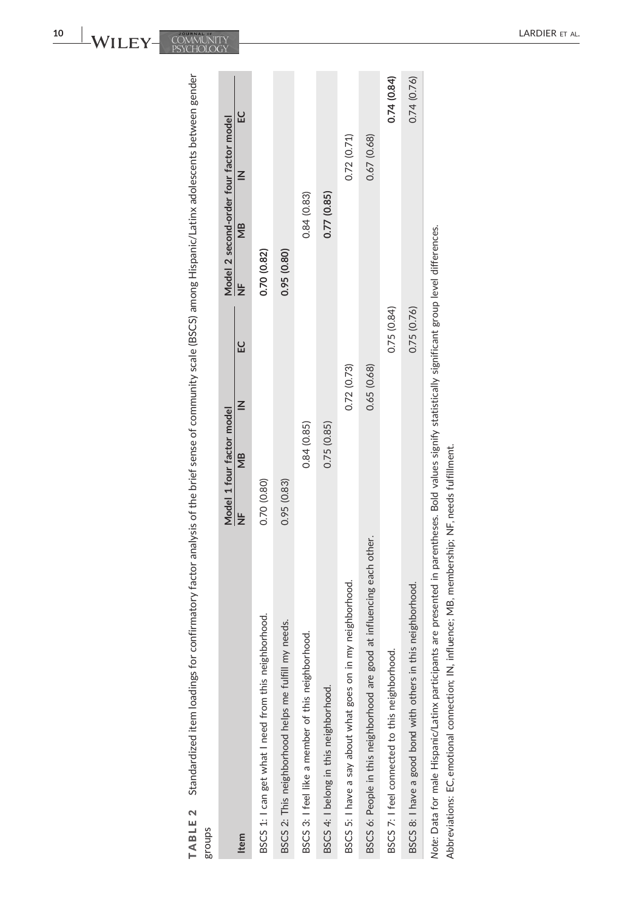| stonbs                                                                                                                                                                                                                                                  |                           |                |                     |                                        |                   |            |
|---------------------------------------------------------------------------------------------------------------------------------------------------------------------------------------------------------------------------------------------------------|---------------------------|----------------|---------------------|----------------------------------------|-------------------|------------|
|                                                                                                                                                                                                                                                         | Model 1 four factor model |                |                     | Model 2 second-order four factor model |                   |            |
| Item                                                                                                                                                                                                                                                    | €<br>$\frac{1}{2}$        | $\overline{z}$ | $\frac{1}{2}$<br>EC | МB                                     | EC<br>E<br>$\leq$ |            |
| BSCS 1: I can get what I need from this neighborhood.                                                                                                                                                                                                   | 0.70(0.80)                |                | 0.70 (0.82)         |                                        |                   |            |
| BSCS 2: This neighborhood helps me fulfill my needs.                                                                                                                                                                                                    | 0.95(0.83)                |                | 0.95 (0.80)         |                                        |                   |            |
| BSCS 3: I feel like a member of this neighborhood.                                                                                                                                                                                                      | 0.84 (0.85)               |                |                     | 0.84(0.83)                             |                   |            |
| BSCS 4: I belong in this neighborhood.                                                                                                                                                                                                                  | 0.75(0.85)                |                |                     | 0.77 (0.85)                            |                   |            |
| BSCS 5: I have a say about what goes on in my neighborhood.                                                                                                                                                                                             |                           | 0.72(0.73)     |                     |                                        | 0.72(0.71)        |            |
| at influencing each other.<br>BSCS 6: People in this neighborhood are good                                                                                                                                                                              |                           | 0.65(0.68)     |                     |                                        | 0.67(0.68)        |            |
| BSCS 7: I feel connected to this neighborhood                                                                                                                                                                                                           |                           |                | 0.75(0.84)          |                                        |                   | 0.74(0.84) |
| BSCS 8: I have a good bond with others in this neighborhood.                                                                                                                                                                                            |                           |                | 0.75(0.76)          |                                        |                   | 0.74(0.76) |
| Note: Data for male Hispanic/Latinx participants are presented in parentheses. Bold values signify statistically significant group level differences.<br>Abbreviations: EC, emotional connection; IN, influence; MB, membership; NF, needs fulfillment. |                           |                |                     |                                        |                   |            |

TABLE 2 Standardized item loadings for confirmatory factor analysis of the brief sense of community scale (BSCS) among Hispanic/Latinx adolescents between gender

TABLE<sub>2</sub>

<span id="page-9-0"></span>Standardized item loadings for confirmatory factor analysis of the brief sense of community scale (BSCS) among Hispanic/Latinx adolescents between gender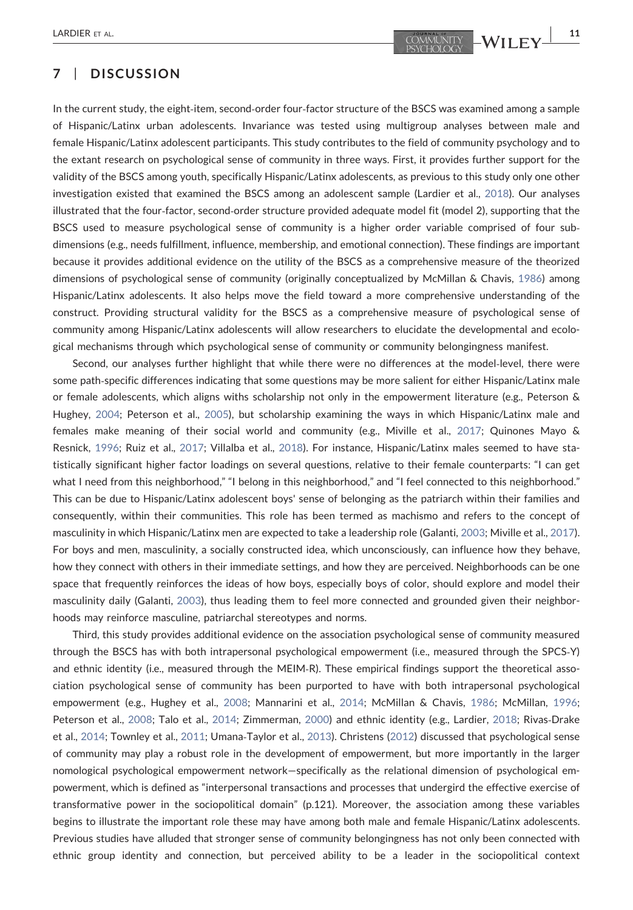# 7 | DISCUSSION

In the current study, the eight-item, second-order four-factor structure of the BSCS was examined among a sample of Hispanic/Latinx urban adolescents. Invariance was tested using multigroup analyses between male and female Hispanic/Latinx adolescent participants. This study contributes to the field of community psychology and to the extant research on psychological sense of community in three ways. First, it provides further support for the validity of the BSCS among youth, specifically Hispanic/Latinx adolescents, as previous to this study only one other investigation existed that examined the BSCS among an adolescent sample (Lardier et al., [2018\)](#page-13-4). Our analyses illustrated that the four‐factor, second‐order structure provided adequate model fit (model 2), supporting that the BSCS used to measure psychological sense of community is a higher order variable comprised of four sub‐ dimensions (e.g., needs fulfillment, influence, membership, and emotional connection). These findings are important because it provides additional evidence on the utility of the BSCS as a comprehensive measure of the theorized dimensions of psychological sense of community (originally conceptualized by McMillan & Chavis, [1986](#page-14-2)) among Hispanic/Latinx adolescents. It also helps move the field toward a more comprehensive understanding of the construct. Providing structural validity for the BSCS as a comprehensive measure of psychological sense of community among Hispanic/Latinx adolescents will allow researchers to elucidate the developmental and ecological mechanisms through which psychological sense of community or community belongingness manifest.

Second, our analyses further highlight that while there were no differences at the model-level, there were some path-specific differences indicating that some questions may be more salient for either Hispanic/Latinx male or female adolescents, which aligns withs scholarship not only in the empowerment literature (e.g., Peterson & Hughey, [2004;](#page-14-10) Peterson et al., [2005](#page-14-11)), but scholarship examining the ways in which Hispanic/Latinx male and females make meaning of their social world and community (e.g., Miville et al., [2017;](#page-14-21) Quinones Mayo & Resnick, [1996](#page-15-12); Ruiz et al., [2017](#page-15-18); Villalba et al., [2018](#page-16-1)). For instance, Hispanic/Latinx males seemed to have statistically significant higher factor loadings on several questions, relative to their female counterparts: "I can get what I need from this neighborhood," "I belong in this neighborhood," and "I feel connected to this neighborhood." This can be due to Hispanic/Latinx adolescent boys' sense of belonging as the patriarch within their families and consequently, within their communities. This role has been termed as machismo and refers to the concept of masculinity in which Hispanic/Latinx men are expected to take a leadership role (Galanti, [2003;](#page-13-19) Miville et al., [2017](#page-14-21)). For boys and men, masculinity, a socially constructed idea, which unconsciously, can influence how they behave, how they connect with others in their immediate settings, and how they are perceived. Neighborhoods can be one space that frequently reinforces the ideas of how boys, especially boys of color, should explore and model their masculinity daily (Galanti, [2003](#page-13-19)), thus leading them to feel more connected and grounded given their neighborhoods may reinforce masculine, patriarchal stereotypes and norms.

Third, this study provides additional evidence on the association psychological sense of community measured through the BSCS has with both intrapersonal psychological empowerment (i.e., measured through the SPCS‐Y) and ethnic identity (i.e., measured through the MEIM-R). These empirical findings support the theoretical association psychological sense of community has been purported to have with both intrapersonal psychological empowerment (e.g., Hughey et al., [2008;](#page-13-20) Mannarini et al., [2014;](#page-14-15) McMillan & Chavis, [1986;](#page-14-2) McMillan, [1996](#page-14-22); Peterson et al., [2008;](#page-15-5) Talo et al., [2014](#page-15-19); Zimmerman, [2000](#page-16-4)) and ethnic identity (e.g., Lardier, [2018;](#page-13-4) Rivas‐Drake et al., [2014](#page-15-10); Townley et al., [2011](#page-15-7); Umana‐Taylor et al., [2013\)](#page-16-5). Christens ([2012](#page-13-21)) discussed that psychological sense of community may play a robust role in the development of empowerment, but more importantly in the larger nomological psychological empowerment network—specifically as the relational dimension of psychological empowerment, which is defined as "interpersonal transactions and processes that undergird the effective exercise of transformative power in the sociopolitical domain" (p.121). Moreover, the association among these variables begins to illustrate the important role these may have among both male and female Hispanic/Latinx adolescents. Previous studies have alluded that stronger sense of community belongingness has not only been connected with ethnic group identity and connection, but perceived ability to be a leader in the sociopolitical context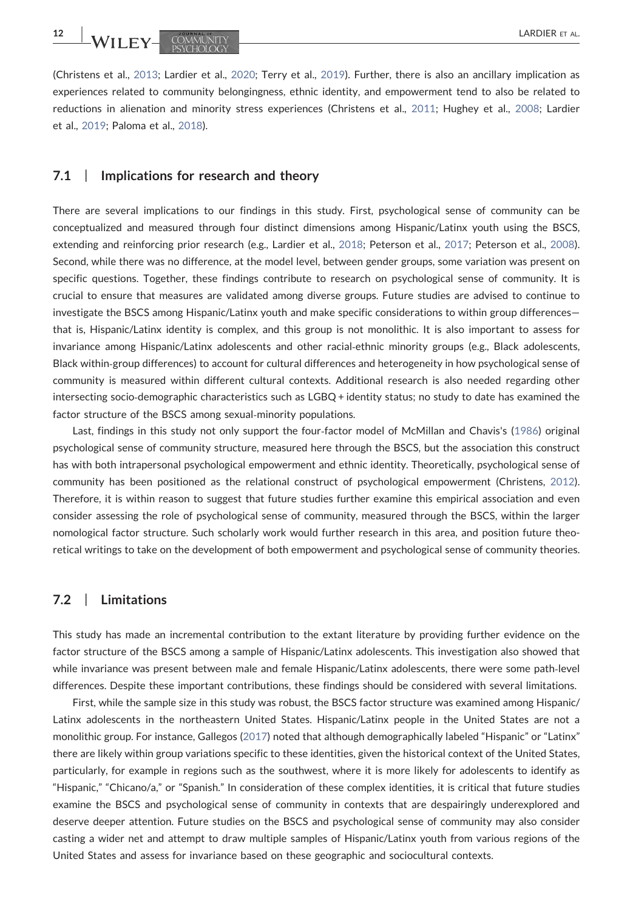12 WILEY- COMMUNITY CONDUCTS CONTRACT ALLARDIER ET AL.

(Christens et al., [2013;](#page-13-22) Lardier et al., [2020](#page-14-3); Terry et al., [2019](#page-15-20)). Further, there is also an ancillary implication as experiences related to community belongingness, ethnic identity, and empowerment tend to also be related to reductions in alienation and minority stress experiences (Christens et al., [2011;](#page-13-23) Hughey et al., [2008](#page-13-20); Lardier et al., [2019](#page-14-0); Paloma et al., [2018](#page-14-23)).

#### 7.1 | Implications for research and theory

There are several implications to our findings in this study. First, psychological sense of community can be conceptualized and measured through four distinct dimensions among Hispanic/Latinx youth using the BSCS, extending and reinforcing prior research (e.g., Lardier et al., [2018](#page-13-4); Peterson et al., [2017](#page-15-1); Peterson et al., [2008](#page-15-6)). Second, while there was no difference, at the model level, between gender groups, some variation was present on specific questions. Together, these findings contribute to research on psychological sense of community. It is crucial to ensure that measures are validated among diverse groups. Future studies are advised to continue to investigate the BSCS among Hispanic/Latinx youth and make specific considerations to within group differences that is, Hispanic/Latinx identity is complex, and this group is not monolithic. It is also important to assess for invariance among Hispanic/Latinx adolescents and other racial-ethnic minority groups (e.g., Black adolescents, Black within‐group differences) to account for cultural differences and heterogeneity in how psychological sense of community is measured within different cultural contexts. Additional research is also needed regarding other intersecting socio‐demographic characteristics such as LGBQ + identity status; no study to date has examined the factor structure of the BSCS among sexual-minority populations.

Last, findings in this study not only support the four‐factor model of McMillan and Chavis's ([1986](#page-14-2)) original psychological sense of community structure, measured here through the BSCS, but the association this construct has with both intrapersonal psychological empowerment and ethnic identity. Theoretically, psychological sense of community has been positioned as the relational construct of psychological empowerment (Christens, [2012](#page-13-21)). Therefore, it is within reason to suggest that future studies further examine this empirical association and even consider assessing the role of psychological sense of community, measured through the BSCS, within the larger nomological factor structure. Such scholarly work would further research in this area, and position future theoretical writings to take on the development of both empowerment and psychological sense of community theories.

## 7.2 | Limitations

This study has made an incremental contribution to the extant literature by providing further evidence on the factor structure of the BSCS among a sample of Hispanic/Latinx adolescents. This investigation also showed that while invariance was present between male and female Hispanic/Latinx adolescents, there were some path-level differences. Despite these important contributions, these findings should be considered with several limitations.

First, while the sample size in this study was robust, the BSCS factor structure was examined among Hispanic/ Latinx adolescents in the northeastern United States. Hispanic/Latinx people in the United States are not a monolithic group. For instance, Gallegos [\(2017\)](#page-13-24) noted that although demographically labeled "Hispanic" or "Latinx" there are likely within group variations specific to these identities, given the historical context of the United States, particularly, for example in regions such as the southwest, where it is more likely for adolescents to identify as "Hispanic," "Chicano/a," or "Spanish." In consideration of these complex identities, it is critical that future studies examine the BSCS and psychological sense of community in contexts that are despairingly underexplored and deserve deeper attention. Future studies on the BSCS and psychological sense of community may also consider casting a wider net and attempt to draw multiple samples of Hispanic/Latinx youth from various regions of the United States and assess for invariance based on these geographic and sociocultural contexts.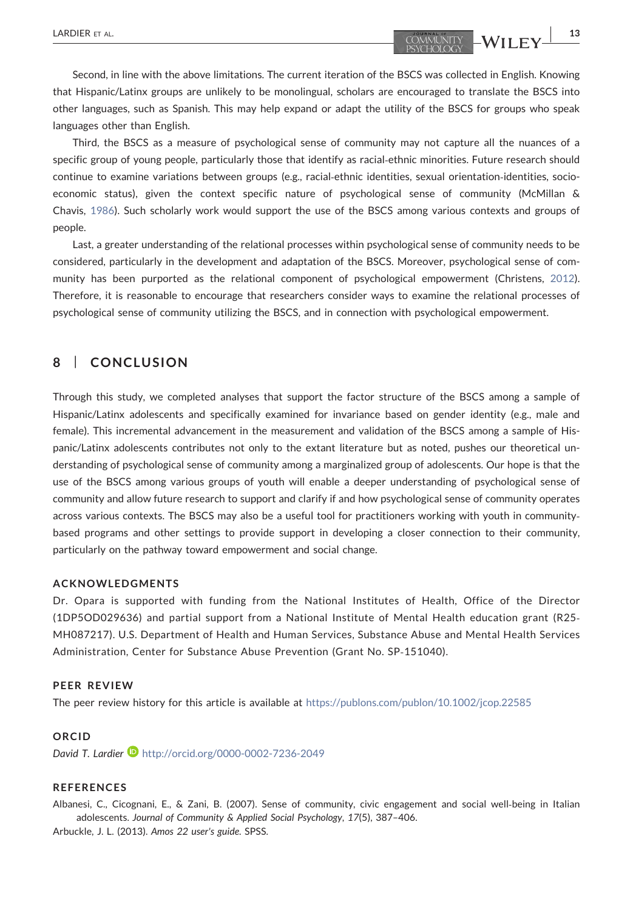Second, in line with the above limitations. The current iteration of the BSCS was collected in English. Knowing that Hispanic/Latinx groups are unlikely to be monolingual, scholars are encouraged to translate the BSCS into other languages, such as Spanish. This may help expand or adapt the utility of the BSCS for groups who speak languages other than English.

Third, the BSCS as a measure of psychological sense of community may not capture all the nuances of a specific group of young people, particularly those that identify as racial-ethnic minorities. Future research should continue to examine variations between groups (e.g., racial-ethnic identities, sexual orientation-identities, socioeconomic status), given the context specific nature of psychological sense of community (McMillan & Chavis, [1986\)](#page-14-2). Such scholarly work would support the use of the BSCS among various contexts and groups of people.

Last, a greater understanding of the relational processes within psychological sense of community needs to be considered, particularly in the development and adaptation of the BSCS. Moreover, psychological sense of community has been purported as the relational component of psychological empowerment (Christens, [2012](#page-13-21)). Therefore, it is reasonable to encourage that researchers consider ways to examine the relational processes of psychological sense of community utilizing the BSCS, and in connection with psychological empowerment.

# 8 | CONCLUSION

Through this study, we completed analyses that support the factor structure of the BSCS among a sample of Hispanic/Latinx adolescents and specifically examined for invariance based on gender identity (e.g., male and female). This incremental advancement in the measurement and validation of the BSCS among a sample of Hispanic/Latinx adolescents contributes not only to the extant literature but as noted, pushes our theoretical understanding of psychological sense of community among a marginalized group of adolescents. Our hope is that the use of the BSCS among various groups of youth will enable a deeper understanding of psychological sense of community and allow future research to support and clarify if and how psychological sense of community operates across various contexts. The BSCS may also be a useful tool for practitioners working with youth in community‐ based programs and other settings to provide support in developing a closer connection to their community, particularly on the pathway toward empowerment and social change.

#### ACKNOWLEDGMENTS

Dr. Opara is supported with funding from the National Institutes of Health, Office of the Director (1DP5OD029636) and partial support from a National Institute of Mental Health education grant (R25‐ MH087217). U.S. Department of Health and Human Services, Substance Abuse and Mental Health Services Administration, Center for Substance Abuse Prevention (Grant No. SP‐151040).

#### PEER REVIEW

The peer review history for this article is available at <https://publons.com/publon/10.1002/jcop.22585>

#### ORCID

David T. Lardier **b** <http://orcid.org/0000-0002-7236-2049>

#### **REFERENCES**

<span id="page-12-0"></span>Albanesi, C., Cicognani, E., & Zani, B. (2007). Sense of community, civic engagement and social well‐being in Italian adolescents. Journal of Community & Applied Social Psychology, 17(5), 387–406.

<span id="page-12-1"></span>Arbuckle, J. L. (2013). Amos 22 user's guide. SPSS.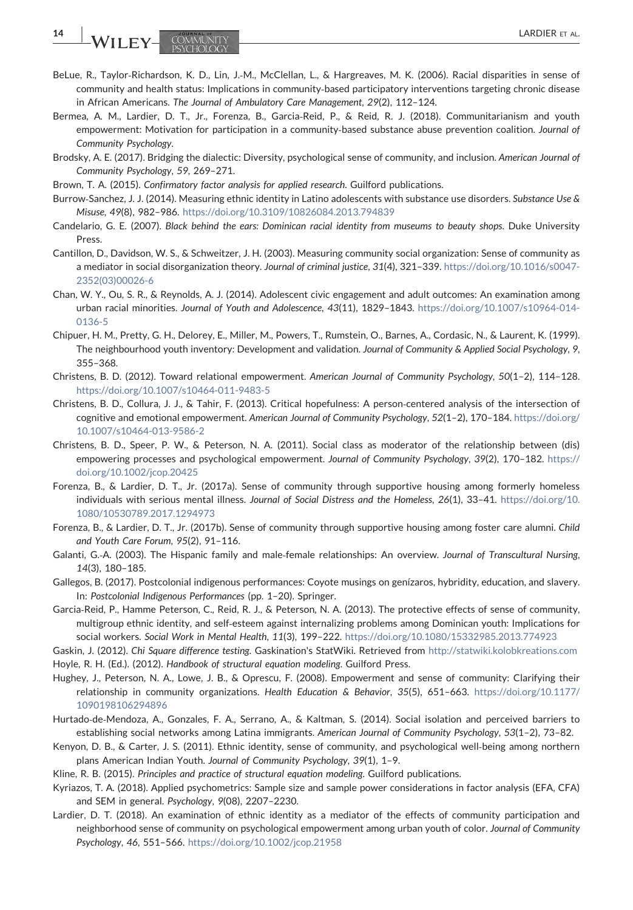- <span id="page-13-5"></span>BeLue, R., Taylor‐Richardson, K. D., Lin, J.‐M., McClellan, L., & Hargreaves, M. K. (2006). Racial disparities in sense of community and health status: Implications in community-based participatory interventions targeting chronic disease in African Americans. The Journal of Ambulatory Care Management, 29(2), 112–124.
- <span id="page-13-2"></span>Bermea, A. M., Lardier, D. T., Jr., Forenza, B., Garcia‐Reid, P., & Reid, R. J. (2018). Communitarianism and youth empowerment: Motivation for participation in a community-based substance abuse prevention coalition. Journal of Community Psychology.
- <span id="page-13-3"></span>Brodsky, A. E. (2017). Bridging the dialectic: Diversity, psychological sense of community, and inclusion. American Journal of Community Psychology, 59, 269–271.
- <span id="page-13-17"></span>Brown, T. A. (2015). Confirmatory factor analysis for applied research. Guilford publications.
- <span id="page-13-14"></span>Burrow-Sanchez, J. J. (2014). Measuring ethnic identity in Latino adolescents with substance use disorders. Substance Use & Misuse, 49(8), 982–986. <https://doi.org/10.3109/10826084.2013.794839>
- <span id="page-13-13"></span>Candelario, G. E. (2007). Black behind the ears: Dominican racial identity from museums to beauty shops. Duke University Press.
- <span id="page-13-1"></span>Cantillon, D., Davidson, W. S., & Schweitzer, J. H. (2003). Measuring community social organization: Sense of community as a mediator in social disorganization theory. Journal of criminal justice, 31(4), 321–339. [https://doi.org/10.1016/s0047-](https://doi.org/10.1016/s0047-2352(03)00026-6) [2352\(03\)00026-6](https://doi.org/10.1016/s0047-2352(03)00026-6)
- <span id="page-13-11"></span>Chan, W. Y., Ou, S. R., & Reynolds, A. J. (2014). Adolescent civic engagement and adult outcomes: An examination among urban racial minorities. Journal of Youth and Adolescence, 43(11), 1829–1843. [https://doi.org/10.1007/s10964-014-](https://doi.org/10.1007/s10964-014-0136-5) [0136-5](https://doi.org/10.1007/s10964-014-0136-5)
- <span id="page-13-9"></span>Chipuer, H. M., Pretty, G. H., Delorey, E., Miller, M., Powers, T., Rumstein, O., Barnes, A., Cordasic, N., & Laurent, K. (1999). The neighbourhood youth inventory: Development and validation. Journal of Community & Applied Social Psychology, 9, 355–368.
- <span id="page-13-21"></span>Christens, B. D. (2012). Toward relational empowerment. American Journal of Community Psychology, 50(1–2), 114–128. <https://doi.org/10.1007/s10464-011-9483-5>
- <span id="page-13-22"></span>Christens, B. D., Collura, J. J., & Tahir, F. (2013). Critical hopefulness: A person‐centered analysis of the intersection of cognitive and emotional empowerment. American Journal of Community Psychology, 52(1–2), 170–184. [https://doi.org/](https://doi.org/10.1007/s10464-013-9586-2) [10.1007/s10464-013-9586-2](https://doi.org/10.1007/s10464-013-9586-2)
- <span id="page-13-23"></span>Christens, B. D., Speer, P. W., & Peterson, N. A. (2011). Social class as moderator of the relationship between (dis) empowering processes and psychological empowerment. Journal of Community Psychology, 39(2), 170–182. [https://](https://doi.org/10.1002/jcop.20425) [doi.org/10.1002/jcop.20425](https://doi.org/10.1002/jcop.20425)
- <span id="page-13-8"></span>Forenza, B., & Lardier, D. T., Jr. (2017a). Sense of community through supportive housing among formerly homeless individuals with serious mental illness. Journal of Social Distress and the Homeless, 26(1), 33-41. [https://doi.org/10.](https://doi.org/10.1080/10530789.2017.1294973) [1080/10530789.2017.1294973](https://doi.org/10.1080/10530789.2017.1294973)
- <span id="page-13-7"></span>Forenza, B., & Lardier, D. T., Jr. (2017b). Sense of community through supportive housing among foster care alumni. Child and Youth Care Forum, 95(2), 91–116.
- <span id="page-13-19"></span>Galanti, G.-A. (2003). The Hispanic family and male-female relationships: An overview. Journal of Transcultural Nursing, 14(3), 180–185.
- <span id="page-13-24"></span>Gallegos, B. (2017). Postcolonial indigenous performances: Coyote musings on genízaros, hybridity, education, and slavery. In: Postcolonial Indigenous Performances (pp. 1–20). Springer.
- <span id="page-13-10"></span>Garcia‐Reid, P., Hamme Peterson, C., Reid, R. J., & Peterson, N. A. (2013). The protective effects of sense of community, multigroup ethnic identity, and self‐esteem against internalizing problems among Dominican youth: Implications for social workers. Social Work in Mental Health, 11(3), 199–222. <https://doi.org/10.1080/15332985.2013.774923>
- <span id="page-13-16"></span><span id="page-13-15"></span>Gaskin, J. (2012). Chi Square difference testing. Gaskination's StatWiki. Retrieved from <http://statwiki.kolobkreations.com> Hoyle, R. H. (Ed.). (2012). Handbook of structural equation modeling. Guilford Press.
- <span id="page-13-20"></span>Hughey, J., Peterson, N. A., Lowe, J. B., & Oprescu, F. (2008). Empowerment and sense of community: Clarifying their relationship in community organizations. Health Education & Behavior, 35(5), 651–663. [https://doi.org/10.1177/](https://doi.org/10.1177/1090198106294896) [1090198106294896](https://doi.org/10.1177/1090198106294896)
- <span id="page-13-12"></span>Hurtado-de-Mendoza, A., Gonzales, F. A., Serrano, A., & Kaltman, S. (2014). Social isolation and perceived barriers to establishing social networks among Latina immigrants. American Journal of Community Psychology, 53(1–2), 73–82.
- <span id="page-13-6"></span>Kenyon, D. B., & Carter, J. S. (2011). Ethnic identity, sense of community, and psychological well‐being among northern plans American Indian Youth. Journal of Community Psychology, 39(1), 1–9.
- <span id="page-13-0"></span>Kline, R. B. (2015). Principles and practice of structural equation modeling. Guilford publications.
- <span id="page-13-18"></span>Kyriazos, T. A. (2018). Applied psychometrics: Sample size and sample power considerations in factor analysis (EFA, CFA) and SEM in general. Psychology, 9(08), 2207–2230.
- <span id="page-13-4"></span>Lardier, D. T. (2018). An examination of ethnic identity as a mediator of the effects of community participation and neighborhood sense of community on psychological empowerment among urban youth of color. Journal of Community Psychology, 46, 551–566. <https://doi.org/10.1002/jcop.21958>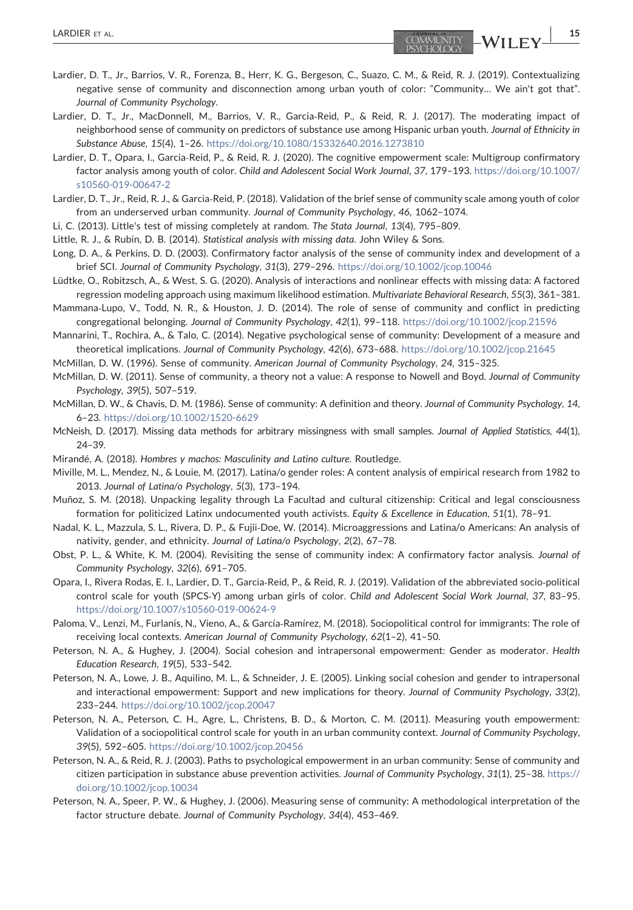- <span id="page-14-0"></span>Lardier, D. T., Jr., Barrios, V. R., Forenza, B., Herr, K. G., Bergeson, C., Suazo, C. M., & Reid, R. J. (2019). Contextualizing negative sense of community and disconnection among urban youth of color: "Community… We ain't got that". Journal of Community Psychology.
- <span id="page-14-9"></span>Lardier, D. T., Jr., MacDonnell, M., Barrios, V. R., Garcia-Reid, P., & Reid, R. J. (2017). The moderating impact of neighborhood sense of community on predictors of substance use among Hispanic urban youth. Journal of Ethnicity in Substance Abuse, 15(4), 1–26. <https://doi.org/10.1080/15332640.2016.1273810>
- <span id="page-14-3"></span>Lardier, D. T., Opara, I., Garcia‐Reid, P., & Reid, R. J. (2020). The cognitive empowerment scale: Multigroup confirmatory factor analysis among youth of color. Child and Adolescent Social Work Journal, 37, 179–193. [https://doi.org/10.1007/](https://doi.org/10.1007/s10560-019-00647-2) [s10560-019-00647-2](https://doi.org/10.1007/s10560-019-00647-2)
- Lardier, D. T., Jr., Reid, R. J., & Garcia‐Reid, P. (2018). Validation of the brief sense of community scale among youth of color from an underserved urban community. Journal of Community Psychology, 46, 1062–1074.
- <span id="page-14-17"></span>Li, C. (2013). Little's test of missing completely at random. The Stata Journal, 13(4), 795–809.
- <span id="page-14-18"></span>Little, R. J., & Rubin, D. B. (2014). Statistical analysis with missing data. John Wiley & Sons.
- <span id="page-14-6"></span>Long, D. A., & Perkins, D. D. (2003). Confirmatory factor analysis of the sense of community index and development of a brief SCI. Journal of Community Psychology, 31(3), 279–296. <https://doi.org/10.1002/jcop.10046>
- <span id="page-14-19"></span>Lüdtke, O., Robitzsch, A., & West, S. G. (2020). Analysis of interactions and nonlinear effects with missing data: A factored regression modeling approach using maximum likelihood estimation. Multivariate Behavioral Research, 55(3), 361–381.
- Mammana‐Lupo, V., Todd, N. R., & Houston, J. D. (2014). The role of sense of community and conflict in predicting congregational belonging. Journal of Community Psychology, 42(1), 99–118. <https://doi.org/10.1002/jcop.21596>
- <span id="page-14-15"></span>Mannarini, T., Rochira, A., & Talo, C. (2014). Negative psychological sense of community: Development of a measure and theoretical implications. Journal of Community Psychology, 42(6), 673–688. <https://doi.org/10.1002/jcop.21645>
- <span id="page-14-22"></span>McMillan, D. W. (1996). Sense of community. American Journal of Community Psychology, 24, 315–325.
- <span id="page-14-1"></span>McMillan, D. W. (2011). Sense of community, a theory not a value: A response to Nowell and Boyd. Journal of Community Psychology, 39(5), 507–519.
- <span id="page-14-2"></span>McMillan, D. W., & Chavis, D. M. (1986). Sense of community: A definition and theory. Journal of Community Psychology, 14, 6–23. <https://doi.org/10.1002/1520-6629>
- <span id="page-14-20"></span>McNeish, D. (2017). Missing data methods for arbitrary missingness with small samples. Journal of Applied Statistics, 44(1), 24–39.
- <span id="page-14-12"></span>Mirandé, A. (2018). Hombres y machos: Masculinity and Latino culture. Routledge.
- <span id="page-14-21"></span>Miville, M. L., Mendez, N., & Louie, M. (2017). Latina/o gender roles: A content analysis of empirical research from 1982 to 2013. Journal of Latina/o Psychology, 5(3), 173–194.
- <span id="page-14-13"></span>Muñoz, S. M. (2018). Unpacking legality through La Facultad and cultural citizenship: Critical and legal consciousness formation for politicized Latinx undocumented youth activists. Equity & Excellence in Education, 51(1), 78–91.
- <span id="page-14-14"></span>Nadal, K. L., Mazzula, S. L., Rivera, D. P., & Fujii‐Doe, W. (2014). Microaggressions and Latina/o Americans: An analysis of nativity, gender, and ethnicity. Journal of Latina/o Psychology, 2(2), 67–78.
- <span id="page-14-7"></span>Obst, P. L., & White, K. M. (2004). Revisiting the sense of community index: A confirmatory factor analysis. Journal of Community Psychology, 32(6), 691–705.
- <span id="page-14-5"></span>Opara, I., Rivera Rodas, E. I., Lardier, D. T., Garcia‐Reid, P., & Reid, R. J. (2019). Validation of the abbreviated socio‐political control scale for youth (SPCS‐Y) among urban girls of color. Child and Adolescent Social Work Journal, 37, 83–95. <https://doi.org/10.1007/s10560-019-00624-9>
- <span id="page-14-23"></span>Paloma, V., Lenzi, M., Furlanis, N., Vieno, A., & García‐Ramírez, M. (2018). Sociopolitical control for immigrants: The role of receiving local contexts. American Journal of Community Psychology, 62(1–2), 41–50.
- <span id="page-14-10"></span>Peterson, N. A., & Hughey, J. (2004). Social cohesion and intrapersonal empowerment: Gender as moderator. Health Education Research, 19(5), 533–542.
- <span id="page-14-11"></span>Peterson, N. A., Lowe, J. B., Aquilino, M. L., & Schneider, J. E. (2005). Linking social cohesion and gender to intrapersonal and interactional empowerment: Support and new implications for theory. Journal of Community Psychology, 33(2), 233–244. <https://doi.org/10.1002/jcop.20047>
- <span id="page-14-16"></span>Peterson, N. A., Peterson, C. H., Agre, L., Christens, B. D., & Morton, C. M. (2011). Measuring youth empowerment: Validation of a sociopolitical control scale for youth in an urban community context. Journal of Community Psychology, 39(5), 592–605. <https://doi.org/10.1002/jcop.20456>
- <span id="page-14-4"></span>Peterson, N. A., & Reid, R. J. (2003). Paths to psychological empowerment in an urban community: Sense of community and citizen participation in substance abuse prevention activities. Journal of Community Psychology, 31(1), 25–38. [https://](https://doi.org/10.1002/jcop.10034) [doi.org/10.1002/jcop.10034](https://doi.org/10.1002/jcop.10034)
- <span id="page-14-8"></span>Peterson, N. A., Speer, P. W., & Hughey, J. (2006). Measuring sense of community: A methodological interpretation of the factor structure debate. Journal of Community Psychology, 34(4), 453–469.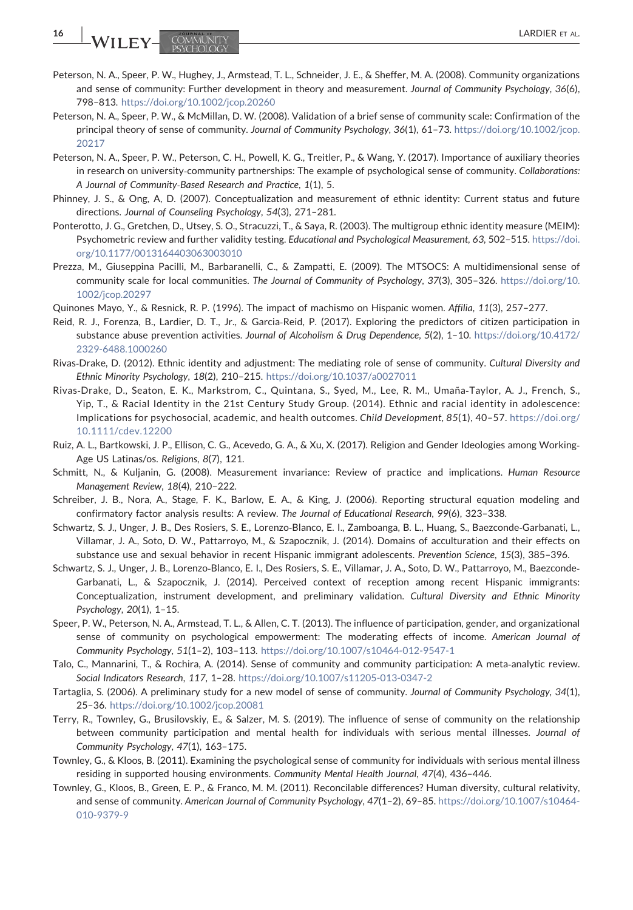- <span id="page-15-5"></span>Peterson, N. A., Speer, P. W., Hughey, J., Armstead, T. L., Schneider, J. E., & Sheffer, M. A. (2008). Community organizations and sense of community: Further development in theory and measurement. Journal of Community Psychology, 36(6), 798–813. <https://doi.org/10.1002/jcop.20260>
- <span id="page-15-6"></span>Peterson, N. A., Speer, P. W., & McMillan, D. W. (2008). Validation of a brief sense of community scale: Confirmation of the principal theory of sense of community. Journal of Community Psychology, 36(1), 61-73. [https://doi.org/10.1002/jcop.](https://doi.org/10.1002/jcop.20217) [20217](https://doi.org/10.1002/jcop.20217)
- <span id="page-15-1"></span>Peterson, N. A., Speer, P. W., Peterson, C. H., Powell, K. G., Treitler, P., & Wang, Y. (2017). Importance of auxiliary theories in research on university-community partnerships: The example of psychological sense of community. Collaborations: A Journal of Community‐Based Research and Practice, 1(1), 5.
- <span id="page-15-13"></span>Phinney, J. S., & Ong, A, D. (2007). Conceptualization and measurement of ethnic identity: Current status and future directions. Journal of Counseling Psychology, 54(3), 271–281.
- <span id="page-15-14"></span>Ponterotto, J. G., Gretchen, D., Utsey, S. O., Stracuzzi, T., & Saya, R. (2003). The multigroup ethnic identity measure (MEIM): Psychometric review and further validity testing. Educational and Psychological Measurement, 63, 502–515. [https://doi.](https://doi.org/10.1177/0013164403063003010) [org/10.1177/0013164403063003010](https://doi.org/10.1177/0013164403063003010)
- <span id="page-15-3"></span>Prezza, M., Giuseppina Pacilli, M., Barbaranelli, C., & Zampatti, E. (2009). The MTSOCS: A multidimensional sense of community scale for local communities. The Journal of Community of Psychology, 37(3), 305-326. [https://doi.org/10.](https://doi.org/10.1002/jcop.20297) [1002/jcop.20297](https://doi.org/10.1002/jcop.20297)
- <span id="page-15-12"></span>Quinones Mayo, Y., & Resnick, R. P. (1996). The impact of machismo on Hispanic women. Affilia, 11(3), 257–277.
- <span id="page-15-2"></span>Reid, R. J., Forenza, B., Lardier, D. T., Jr., & Garcia‐Reid, P. (2017). Exploring the predictors of citizen participation in substance abuse prevention activities. Journal of Alcoholism & Drug Dependence, 5(2), 1–10. [https://doi.org/10.4172/](https://doi.org/10.4172/2329-6488.1000260) [2329-6488.1000260](https://doi.org/10.4172/2329-6488.1000260)
- <span id="page-15-8"></span>Rivas‐Drake, D. (2012). Ethnic identity and adjustment: The mediating role of sense of community. Cultural Diversity and Ethnic Minority Psychology, 18(2), 210–215. <https://doi.org/10.1037/a0027011>
- <span id="page-15-10"></span>Rivas‐Drake, D., Seaton, E. K., Markstrom, C., Quintana, S., Syed, M., Lee, R. M., Umaña‐Taylor, A. J., French, S., Yip, T., & Racial Identity in the 21st Century Study Group. (2014). Ethnic and racial identity in adolescence: Implications for psychosocial, academic, and health outcomes. Child Development, 85(1), 40–57. [https://doi.org/](https://doi.org/10.1111/cdev.12200) [10.1111/cdev.12200](https://doi.org/10.1111/cdev.12200)
- <span id="page-15-18"></span>Ruiz, A. L., Bartkowski, J. P., Ellison, C. G., Acevedo, G. A., & Xu, X. (2017). Religion and Gender Ideologies among Working‐ Age US Latinas/os. Religions, 8(7), 121.
- <span id="page-15-0"></span>Schmitt, N., & Kuljanin, G. (2008). Measurement invariance: Review of practice and implications. Human Resource Management Review, 18(4), 210–222.
- <span id="page-15-17"></span>Schreiber, J. B., Nora, A., Stage, F. K., Barlow, E. A., & King, J. (2006). Reporting structural equation modeling and confirmatory factor analysis results: A review. The Journal of Educational Research, 99(6), 323–338.
- <span id="page-15-15"></span>Schwartz, S. J., Unger, J. B., Des Rosiers, S. E., Lorenzo‐Blanco, E. I., Zamboanga, B. L., Huang, S., Baezconde‐Garbanati, L., Villamar, J. A., Soto, D. W., Pattarroyo, M., & Szapocznik, J. (2014). Domains of acculturation and their effects on substance use and sexual behavior in recent Hispanic immigrant adolescents. Prevention Science, 15(3), 385–396.
- <span id="page-15-16"></span>Schwartz, S. J., Unger, J. B., Lorenzo‐Blanco, E. I., Des Rosiers, S. E., Villamar, J. A., Soto, D. W., Pattarroyo, M., Baezconde‐ Garbanati, L., & Szapocznik, J. (2014). Perceived context of reception among recent Hispanic immigrants: Conceptualization, instrument development, and preliminary validation. Cultural Diversity and Ethnic Minority Psychology, 20(1), 1–15.
- <span id="page-15-11"></span>Speer, P. W., Peterson, N. A., Armstead, T. L., & Allen, C. T. (2013). The influence of participation, gender, and organizational sense of community on psychological empowerment: The moderating effects of income. American Journal of Community Psychology, 51(1–2), 103–113. <https://doi.org/10.1007/s10464-012-9547-1>
- <span id="page-15-19"></span>Talo, C., Mannarini, T., & Rochira, A. (2014). Sense of community and community participation: A meta‐analytic review. Social Indicators Research, 117, 1–28. <https://doi.org/10.1007/s11205-013-0347-2>
- <span id="page-15-4"></span>Tartaglia, S. (2006). A preliminary study for a new model of sense of community. Journal of Community Psychology, 34(1), 25–36. <https://doi.org/10.1002/jcop.20081>
- <span id="page-15-20"></span>Terry, R., Townley, G., Brusilovskiy, E., & Salzer, M. S. (2019). The influence of sense of community on the relationship between community participation and mental health for individuals with serious mental illnesses. Journal of Community Psychology, 47(1), 163–175.
- <span id="page-15-9"></span>Townley, G., & Kloos, B. (2011). Examining the psychological sense of community for individuals with serious mental illness residing in supported housing environments. Community Mental Health Journal, 47(4), 436–446.
- <span id="page-15-7"></span>Townley, G., Kloos, B., Green, E. P., & Franco, M. M. (2011). Reconcilable differences? Human diversity, cultural relativity, and sense of community. American Journal of Community Psychology, 47(1-2), 69-85. [https://doi.org/10.1007/s10464-](https://doi.org/10.1007/s10464-010-9379-9) [010-9379-9](https://doi.org/10.1007/s10464-010-9379-9)